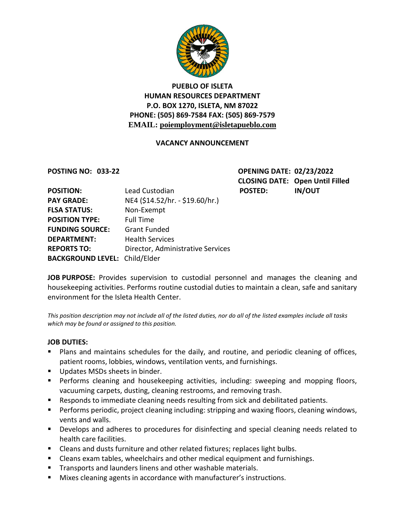

# **PUEBLO OF ISLETA HUMAN RESOURCES DEPARTMENT P.O. BOX 1270, ISLETA, NM 87022 PHONE: (505) 869-7584 FAX: (505) 869-7579 EMAIL: poiemployment@isletapueblo.com**

#### **VACANCY ANNOUNCEMENT**

**POSTING NO: 033-22 OPENING DATE: 02/23/2022 CLOSING DATE: Open Until Filled**

| <b>POSITION:</b>                     | Lead Custodian                    | <b>POSTED:</b> | <b>IN/OUT</b> |
|--------------------------------------|-----------------------------------|----------------|---------------|
| <b>PAY GRADE:</b>                    | NE4 (\$14.52/hr. - \$19.60/hr.)   |                |               |
| <b>FLSA STATUS:</b>                  | Non-Exempt                        |                |               |
| <b>POSITION TYPE:</b>                | <b>Full Time</b>                  |                |               |
| <b>FUNDING SOURCE:</b>               | <b>Grant Funded</b>               |                |               |
| <b>DEPARTMENT:</b>                   | <b>Health Services</b>            |                |               |
| <b>REPORTS TO:</b>                   | Director, Administrative Services |                |               |
| <b>BACKGROUND LEVEL: Child/Elder</b> |                                   |                |               |

**JOB PURPOSE:** Provides supervision to custodial personnel and manages the cleaning and housekeeping activities. Performs routine custodial duties to maintain a clean, safe and sanitary environment for the Isleta Health Center.

*This position description may not include all of the listed duties, nor do all of the listed examples include all tasks which may be found or assigned to this position.*

#### **JOB DUTIES:**

- Plans and maintains schedules for the daily, and routine, and periodic cleaning of offices, patient rooms, lobbies, windows, ventilation vents, and furnishings.
- Updates MSDs sheets in binder.
- **Performs cleaning and housekeeping activities, including: sweeping and mopping floors,** vacuuming carpets, dusting, cleaning restrooms, and removing trash.
- Responds to immediate cleaning needs resulting from sick and debilitated patients.
- **Performs periodic, project cleaning including: stripping and waxing floors, cleaning windows,** vents and walls.
- **Develops and adheres to procedures for disinfecting and special cleaning needs related to** health care facilities.
- **EXEC** Cleans and dusts furniture and other related fixtures; replaces light bulbs.
- Cleans exam tables, wheelchairs and other medical equipment and furnishings.
- **Transports and launders linens and other washable materials.**
- Mixes cleaning agents in accordance with manufacturer's instructions.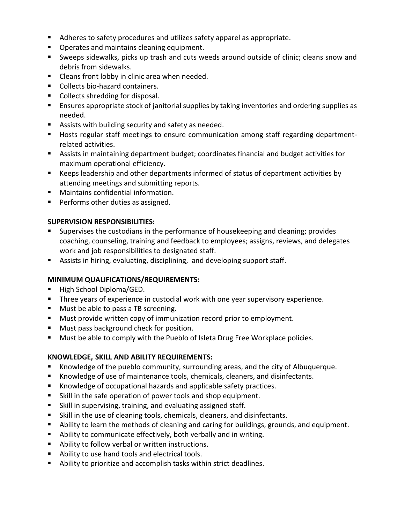- Adheres to safety procedures and utilizes safety apparel as appropriate.
- **Operates and maintains cleaning equipment.**
- Sweeps sidewalks, picks up trash and cuts weeds around outside of clinic; cleans snow and debris from sidewalks.
- **EXEC** Cleans front lobby in clinic area when needed.
- **Collects bio-hazard containers.**
- Collects shredding for disposal.
- Ensures appropriate stock of janitorial supplies by taking inventories and ordering supplies as needed.
- Assists with building security and safety as needed.
- Hosts regular staff meetings to ensure communication among staff regarding departmentrelated activities.
- Assists in maintaining department budget; coordinates financial and budget activities for maximum operational efficiency.
- Keeps leadership and other departments informed of status of department activities by attending meetings and submitting reports.
- Maintains confidential information.
- **Performs other duties as assigned.**

## **SUPERVISION RESPONSIBILITIES:**

- **Supervises the custodians in the performance of housekeeping and cleaning; provides** coaching, counseling, training and feedback to employees; assigns, reviews, and delegates work and job responsibilities to designated staff.
- Assists in hiring, evaluating, disciplining, and developing support staff.

## **MINIMUM QUALIFICATIONS/REQUIREMENTS:**

- High School Diploma/GED.
- Three years of experience in custodial work with one year supervisory experience.
- **Must be able to pass a TB screening.**
- **Must provide written copy of immunization record prior to employment.**
- **Must pass background check for position.**
- **Must be able to comply with the Pueblo of Isleta Drug Free Workplace policies.**

## **KNOWLEDGE, SKILL AND ABILITY REQUIREMENTS:**

- Knowledge of the pueblo community, surrounding areas, and the city of Albuquerque.
- Knowledge of use of maintenance tools, chemicals, cleaners, and disinfectants.
- Knowledge of occupational hazards and applicable safety practices.
- Skill in the safe operation of power tools and shop equipment.
- Skill in supervising, training, and evaluating assigned staff.
- Skill in the use of cleaning tools, chemicals, cleaners, and disinfectants.
- Ability to learn the methods of cleaning and caring for buildings, grounds, and equipment.
- Ability to communicate effectively, both verbally and in writing.
- Ability to follow verbal or written instructions.
- Ability to use hand tools and electrical tools.
- Ability to prioritize and accomplish tasks within strict deadlines.